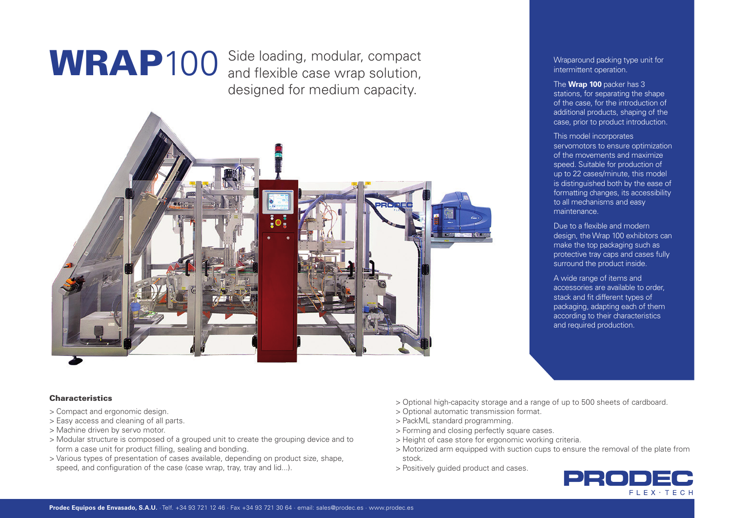WRAP100 Side loading, modular, compact Wraparound packing type unit for and flexible case wrap solution, and flexible case wrap solution, designed for medium capacity.



intermittent operation.

The **Wrap 100** packer has 3 stations, for separating the shape of the case, for the introduction of additional products, shaping of the case, prior to product introduction.

This model incorporates servomotors to ensure optimization of the movements and maximize speed. Suitable for production of up to 22 cases/minute, this model is distinguished both by the ease of formatting changes, its accessibility to all mechanisms and easy maintenance.

Due to a flexible and modern design, the Wrap 100 exhibitors can make the top packaging such as protective tray caps and cases fully surround the product inside.

A wide range of items and accessories are available to order stack and fit different types of packaging, adapting each of them according to their characteristics and required production.

# **Characteristics**

- > Compact and ergonomic design.
- > Easy access and cleaning of all parts.
- > Machine driven by servo motor.
- > Modular structure is composed of a grouped unit to create the grouping device and to form a case unit for product filling, sealing and bonding.
- > Various types of presentation of cases available, depending on product size, shape, speed, and configuration of the case (case wrap, tray, tray and lid...).
- > Optional high-capacity storage and a range of up to 500 sheets of cardboard.
- > Optional automatic transmission format.
- > PackML standard programming.
- > Forming and closing perfectly square cases.
- > Height of case store for ergonomic working criteria.
- > Motorized arm equipped with suction cups to ensure the removal of the plate from stock.
- > Positively guided product and cases.